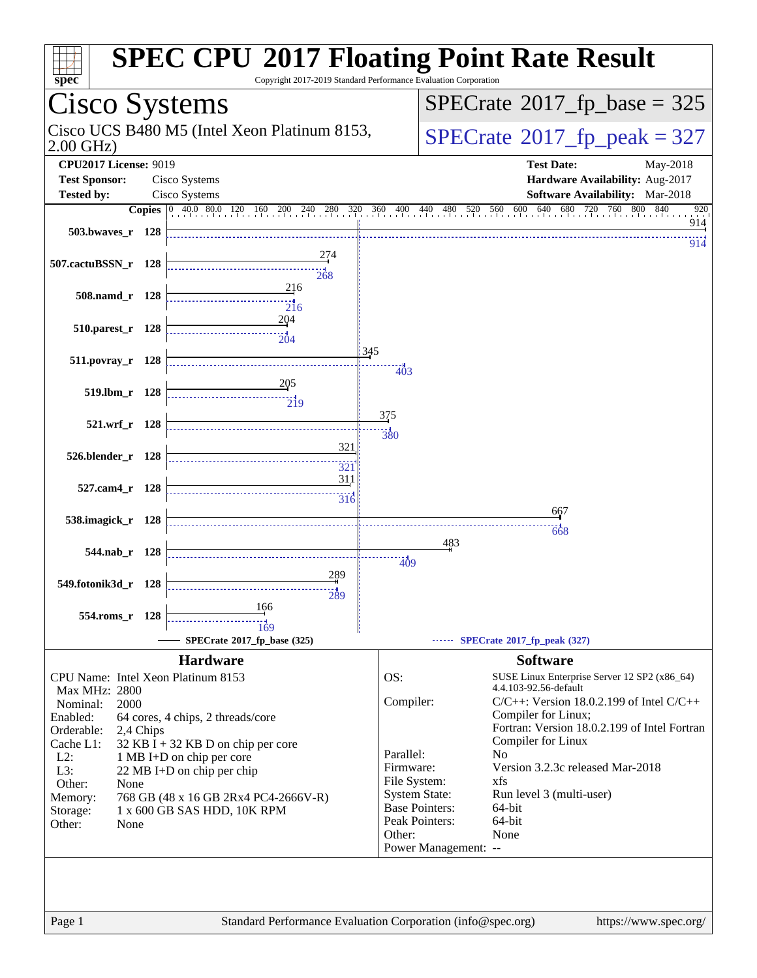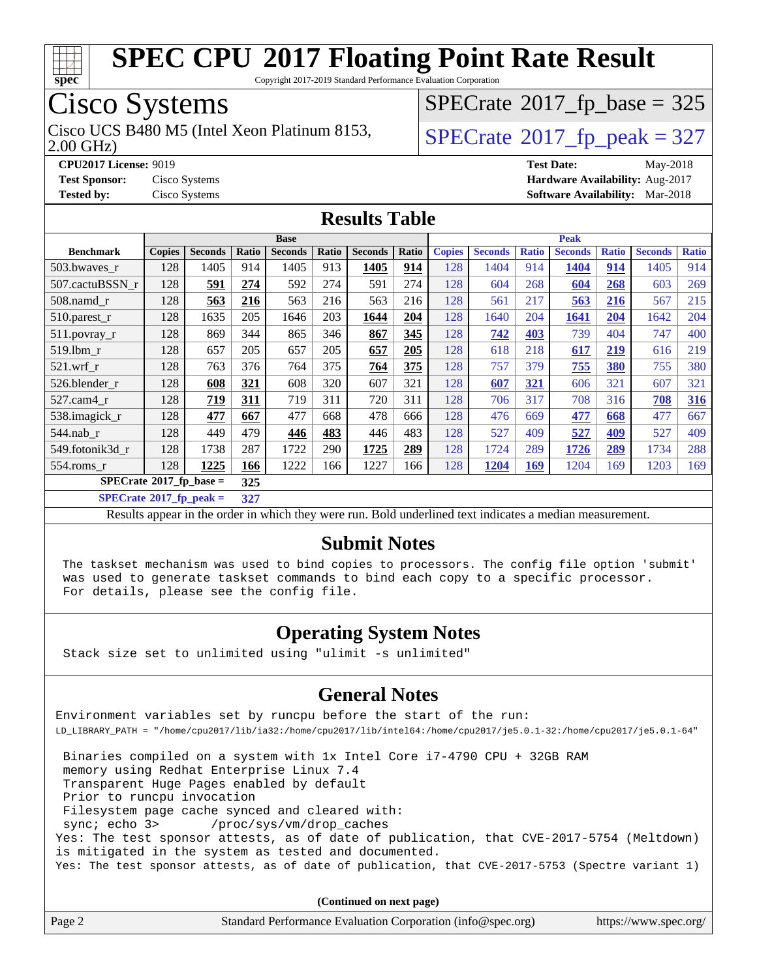

Copyright 2017-2019 Standard Performance Evaluation Corporation

## Cisco Systems

2.00 GHz) Cisco UCS B480 M5 (Intel Xeon Platinum 8153,  $\vert$ [SPECrate](http://www.spec.org/auto/cpu2017/Docs/result-fields.html#SPECrate2017fppeak)®[2017\\_fp\\_peak = 3](http://www.spec.org/auto/cpu2017/Docs/result-fields.html#SPECrate2017fppeak)27

 $SPECTate$ <sup>®</sup>[2017\\_fp\\_base =](http://www.spec.org/auto/cpu2017/Docs/result-fields.html#SPECrate2017fpbase) 325

**[CPU2017 License:](http://www.spec.org/auto/cpu2017/Docs/result-fields.html#CPU2017License)** 9019 **[Test Date:](http://www.spec.org/auto/cpu2017/Docs/result-fields.html#TestDate)** May-2018 **[Test Sponsor:](http://www.spec.org/auto/cpu2017/Docs/result-fields.html#TestSponsor)** Cisco Systems **[Hardware Availability:](http://www.spec.org/auto/cpu2017/Docs/result-fields.html#HardwareAvailability)** Aug-2017 **[Tested by:](http://www.spec.org/auto/cpu2017/Docs/result-fields.html#Testedby)** Cisco Systems **[Software Availability:](http://www.spec.org/auto/cpu2017/Docs/result-fields.html#SoftwareAvailability)** Mar-2018

#### **[Results Table](http://www.spec.org/auto/cpu2017/Docs/result-fields.html#ResultsTable)**

|                                            | <b>Base</b>   |                |       |                | <b>Peak</b> |                |       |               |                |              |                |              |                |              |
|--------------------------------------------|---------------|----------------|-------|----------------|-------------|----------------|-------|---------------|----------------|--------------|----------------|--------------|----------------|--------------|
| <b>Benchmark</b>                           | <b>Copies</b> | <b>Seconds</b> | Ratio | <b>Seconds</b> | Ratio       | <b>Seconds</b> | Ratio | <b>Copies</b> | <b>Seconds</b> | <b>Ratio</b> | <b>Seconds</b> | <b>Ratio</b> | <b>Seconds</b> | <b>Ratio</b> |
| 503.bwayes r                               | 128           | 1405           | 914   | 1405           | 913         | 1405           | 914   | 128           | 1404           | 914          | 1404           | 914          | 1405           | 914          |
| 507.cactuBSSN r                            | 128           | 591            | 274   | 592            | 274         | 591            | 274   | 128           | 604            | 268          | 604            | 268          | 603            | 269          |
| $508$ .namd $_r$                           | 128           | 563            | 216   | 563            | 216         | 563            | 216   | 128           | 561            | 217          | 563            | 216          | 567            | 215          |
| 510.parest_r                               | 128           | 1635           | 205   | 1646           | 203         | 1644           | 204   | 128           | 1640           | 204          | 1641           | 204          | 1642           | 204          |
| 511.povray_r                               | 128           | 869            | 344   | 865            | 346         | 867            | 345   | 128           | 742            | 403          | 739            | 404          | 747            | 400          |
| 519.1bm r                                  | 128           | 657            | 205   | 657            | 205         | 657            | 205   | 128           | 618            | 218          | 617            | 219          | 616            | 219          |
| $521$ .wrf r                               | 128           | 763            | 376   | 764            | 375         | 764            | 375   | 128           | 757            | 379          | 755            | 380          | 755            | 380          |
| 526.blender_r                              | 128           | 608            | 321   | 608            | 320         | 607            | 321   | 128           | 607            | 321          | 606            | 321          | 607            | 321          |
| $527$ .cam4 $r$                            | 128           | 719            | 311   | 719            | 311         | 720            | 311   | 128           | 706            | 317          | 708            | 316          | 708            | 316          |
| 538.imagick_r                              | 128           | 477            | 667   | 477            | 668         | 478            | 666   | 128           | 476            | 669          | 477            | 668          | 477            | 667          |
| 544.nab r                                  | 128           | 449            | 479   | 446            | 483         | 446            | 483   | 128           | 527            | 409          | 527            | 409          | 527            | 409          |
| 549.fotonik3d r                            | 128           | 1738           | 287   | 1722           | 290         | 1725           | 289   | 128           | 1724           | 289          | 1726           | 289          | 1734           | 288          |
| $554$ .roms r                              | 128           | 1225           | 166   | 1222           | 166         | 1227           | 166   | 128           | 1204           | <u>169</u>   | 1204           | 169          | 1203           | 169          |
| $SPECrate^{\otimes}2017$ _fp_base =<br>325 |               |                |       |                |             |                |       |               |                |              |                |              |                |              |

**[SPECrate](http://www.spec.org/auto/cpu2017/Docs/result-fields.html#SPECrate2017fppeak)[2017\\_fp\\_peak =](http://www.spec.org/auto/cpu2017/Docs/result-fields.html#SPECrate2017fppeak) 327**

Results appear in the [order in which they were run](http://www.spec.org/auto/cpu2017/Docs/result-fields.html#RunOrder). Bold underlined text [indicates a median measurement](http://www.spec.org/auto/cpu2017/Docs/result-fields.html#Median).

#### **[Submit Notes](http://www.spec.org/auto/cpu2017/Docs/result-fields.html#SubmitNotes)**

 The taskset mechanism was used to bind copies to processors. The config file option 'submit' was used to generate taskset commands to bind each copy to a specific processor. For details, please see the config file.

#### **[Operating System Notes](http://www.spec.org/auto/cpu2017/Docs/result-fields.html#OperatingSystemNotes)**

Stack size set to unlimited using "ulimit -s unlimited"

#### **[General Notes](http://www.spec.org/auto/cpu2017/Docs/result-fields.html#GeneralNotes)**

Environment variables set by runcpu before the start of the run: LD\_LIBRARY\_PATH = "/home/cpu2017/lib/ia32:/home/cpu2017/lib/intel64:/home/cpu2017/je5.0.1-32:/home/cpu2017/je5.0.1-64"

 Binaries compiled on a system with 1x Intel Core i7-4790 CPU + 32GB RAM memory using Redhat Enterprise Linux 7.4 Transparent Huge Pages enabled by default Prior to runcpu invocation Filesystem page cache synced and cleared with: sync; echo 3> /proc/sys/vm/drop\_caches Yes: The test sponsor attests, as of date of publication, that CVE-2017-5754 (Meltdown) is mitigated in the system as tested and documented. Yes: The test sponsor attests, as of date of publication, that CVE-2017-5753 (Spectre variant 1)

| Page 2 | Standard Performance Evaluation Corporation (info@spec.org) | https://www.spec.org/ |
|--------|-------------------------------------------------------------|-----------------------|
|        |                                                             |                       |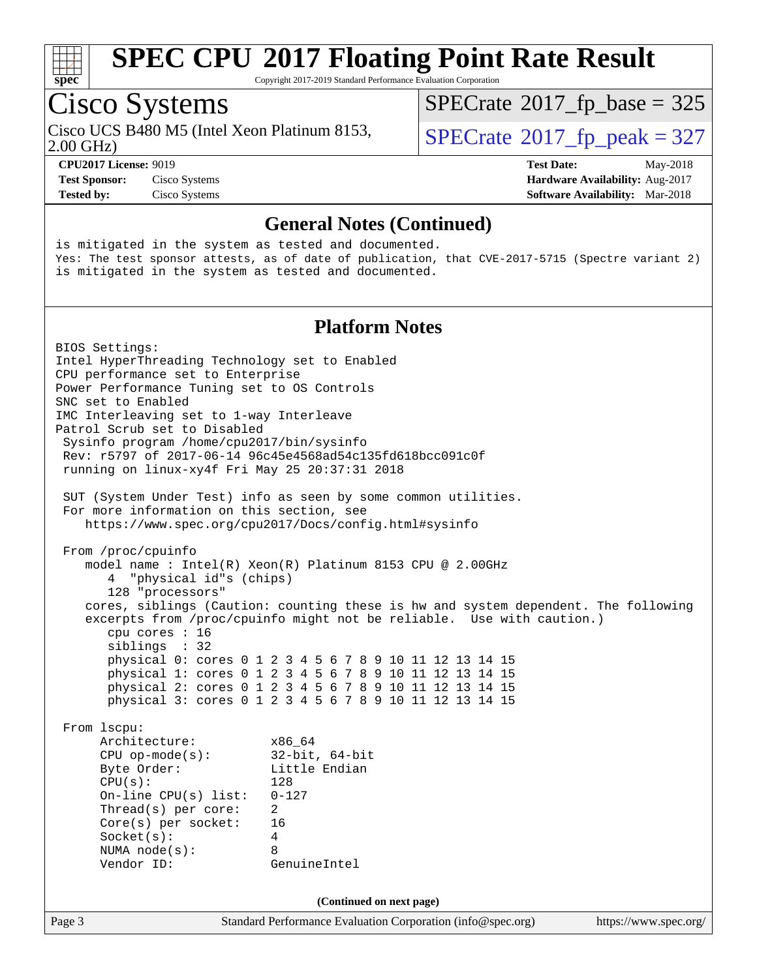

Copyright 2017-2019 Standard Performance Evaluation Corporation

## Cisco Systems

Cisco UCS B480 M5 (Intel Xeon Platinum 8153,  $\vert$ [SPECrate](http://www.spec.org/auto/cpu2017/Docs/result-fields.html#SPECrate2017fppeak)®[2017\\_fp\\_peak = 3](http://www.spec.org/auto/cpu2017/Docs/result-fields.html#SPECrate2017fppeak)27

 $SPECTate$ <sup>®</sup>[2017\\_fp\\_base =](http://www.spec.org/auto/cpu2017/Docs/result-fields.html#SPECrate2017fpbase) 325

2.00 GHz)

**[CPU2017 License:](http://www.spec.org/auto/cpu2017/Docs/result-fields.html#CPU2017License)** 9019 **[Test Date:](http://www.spec.org/auto/cpu2017/Docs/result-fields.html#TestDate)** May-2018 **[Test Sponsor:](http://www.spec.org/auto/cpu2017/Docs/result-fields.html#TestSponsor)** Cisco Systems **[Hardware Availability:](http://www.spec.org/auto/cpu2017/Docs/result-fields.html#HardwareAvailability)** Aug-2017

**[Tested by:](http://www.spec.org/auto/cpu2017/Docs/result-fields.html#Testedby)** Cisco Systems **[Software Availability:](http://www.spec.org/auto/cpu2017/Docs/result-fields.html#SoftwareAvailability)** Mar-2018

#### **[General Notes \(Continued\)](http://www.spec.org/auto/cpu2017/Docs/result-fields.html#GeneralNotes)**

is mitigated in the system as tested and documented. Yes: The test sponsor attests, as of date of publication, that CVE-2017-5715 (Spectre variant 2) is mitigated in the system as tested and documented.

#### **[Platform Notes](http://www.spec.org/auto/cpu2017/Docs/result-fields.html#PlatformNotes)**

Page 3 Standard Performance Evaluation Corporation [\(info@spec.org\)](mailto:info@spec.org) <https://www.spec.org/> BIOS Settings: Intel HyperThreading Technology set to Enabled CPU performance set to Enterprise Power Performance Tuning set to OS Controls SNC set to Enabled IMC Interleaving set to 1-way Interleave Patrol Scrub set to Disabled Sysinfo program /home/cpu2017/bin/sysinfo Rev: r5797 of 2017-06-14 96c45e4568ad54c135fd618bcc091c0f running on linux-xy4f Fri May 25 20:37:31 2018 SUT (System Under Test) info as seen by some common utilities. For more information on this section, see <https://www.spec.org/cpu2017/Docs/config.html#sysinfo> From /proc/cpuinfo model name : Intel(R) Xeon(R) Platinum 8153 CPU @ 2.00GHz 4 "physical id"s (chips) 128 "processors" cores, siblings (Caution: counting these is hw and system dependent. The following excerpts from /proc/cpuinfo might not be reliable. Use with caution.) cpu cores : 16 siblings : 32 physical 0: cores 0 1 2 3 4 5 6 7 8 9 10 11 12 13 14 15 physical 1: cores 0 1 2 3 4 5 6 7 8 9 10 11 12 13 14 15 physical 2: cores 0 1 2 3 4 5 6 7 8 9 10 11 12 13 14 15 physical 3: cores 0 1 2 3 4 5 6 7 8 9 10 11 12 13 14 15 From lscpu: Architecture: x86\_64 CPU op-mode(s): 32-bit, 64-bit Byte Order: Little Endian CPU(s): 128 On-line CPU(s) list: 0-127 Thread(s) per core: 2 Core(s) per socket: 16 Socket(s): 4 NUMA node(s): 8 Vendor ID: GenuineIntel **(Continued on next page)**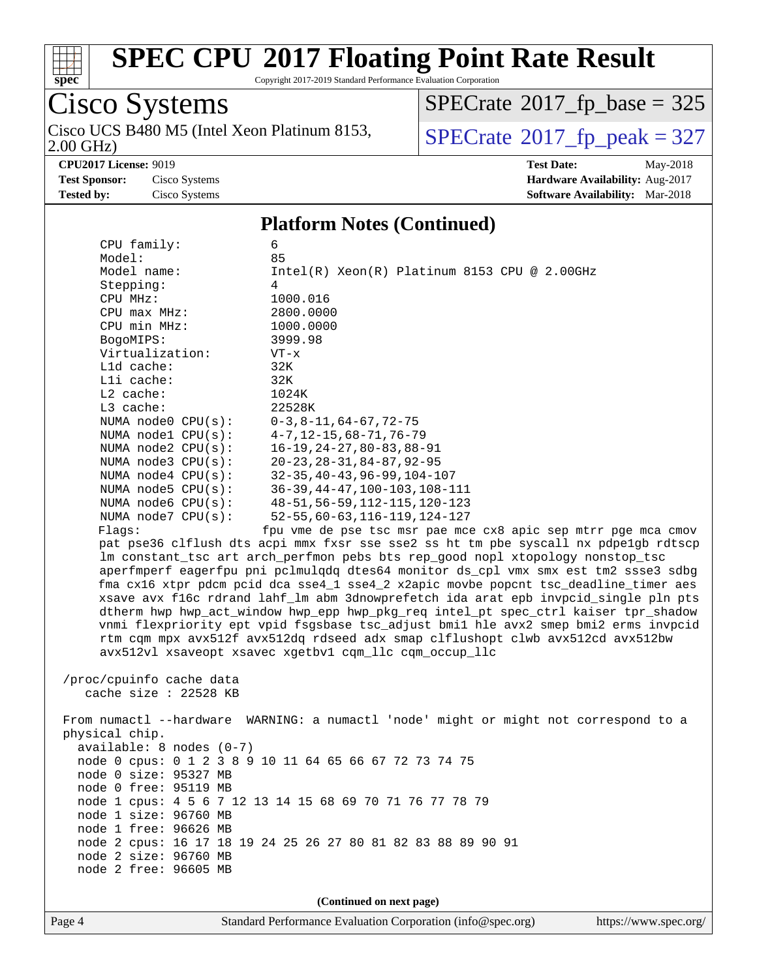

Copyright 2017-2019 Standard Performance Evaluation Corporation

#### Cisco Systems 2.00 GHz) Cisco UCS B480 M5 (Intel Xeon Platinum 8153,  $\vert$ [SPECrate](http://www.spec.org/auto/cpu2017/Docs/result-fields.html#SPECrate2017fppeak)®[2017\\_fp\\_peak = 3](http://www.spec.org/auto/cpu2017/Docs/result-fields.html#SPECrate2017fppeak)27

 $SPECTate$ <sup>®</sup>[2017\\_fp\\_base =](http://www.spec.org/auto/cpu2017/Docs/result-fields.html#SPECrate2017fpbase) 325

**[CPU2017 License:](http://www.spec.org/auto/cpu2017/Docs/result-fields.html#CPU2017License)** 9019 **[Test Date:](http://www.spec.org/auto/cpu2017/Docs/result-fields.html#TestDate)** May-2018 **[Test Sponsor:](http://www.spec.org/auto/cpu2017/Docs/result-fields.html#TestSponsor)** Cisco Systems **[Hardware Availability:](http://www.spec.org/auto/cpu2017/Docs/result-fields.html#HardwareAvailability)** Aug-2017 **[Tested by:](http://www.spec.org/auto/cpu2017/Docs/result-fields.html#Testedby)** Cisco Systems **[Software Availability:](http://www.spec.org/auto/cpu2017/Docs/result-fields.html#SoftwareAvailability)** Mar-2018

#### **[Platform Notes \(Continued\)](http://www.spec.org/auto/cpu2017/Docs/result-fields.html#PlatformNotes)**

 CPU family: 6 Model: 85 Model name: Intel(R) Xeon(R) Platinum 8153 CPU @ 2.00GHz Stepping: 4 CPU MHz: 1000.016 CPU max MHz: 2800.0000 CPU min MHz:  $1000.0000$ <br>BogoMIPS: 3999.98 BogoMIPS: Virtualization: VT-x L1d cache: 32K L1i cache: 32K L2 cache: 1024K L3 cache: 22528K NUMA node0 CPU(s): 0-3,8-11,64-67,72-75 NUMA node1 CPU(s): 4-7,12-15,68-71,76-79 NUMA node2 CPU(s): 16-19,24-27,80-83,88-91 NUMA node3 CPU(s): 20-23,28-31,84-87,92-95 NUMA node4 CPU(s): 32-35,40-43,96-99,104-107 NUMA node5 CPU(s): 36-39,44-47,100-103,108-111 NUMA node6 CPU(s): 48-51,56-59,112-115,120-123 NUMA node7 CPU(s): 52-55,60-63,116-119,124-127 Flags: fpu vme de pse tsc msr pae mce cx8 apic sep mtrr pge mca cmov pat pse36 clflush dts acpi mmx fxsr sse sse2 ss ht tm pbe syscall nx pdpe1gb rdtscp lm constant\_tsc art arch\_perfmon pebs bts rep\_good nopl xtopology nonstop\_tsc aperfmperf eagerfpu pni pclmulqdq dtes64 monitor ds\_cpl vmx smx est tm2 ssse3 sdbg fma cx16 xtpr pdcm pcid dca sse4\_1 sse4\_2 x2apic movbe popcnt tsc\_deadline\_timer aes xsave avx f16c rdrand lahf\_lm abm 3dnowprefetch ida arat epb invpcid\_single pln pts dtherm hwp hwp\_act\_window hwp\_epp hwp\_pkg\_req intel\_pt spec\_ctrl kaiser tpr\_shadow vnmi flexpriority ept vpid fsgsbase tsc\_adjust bmi1 hle avx2 smep bmi2 erms invpcid rtm cqm mpx avx512f avx512dq rdseed adx smap clflushopt clwb avx512cd avx512bw avx512vl xsaveopt xsavec xgetbv1 cqm\_llc cqm\_occup\_llc /proc/cpuinfo cache data cache size : 22528 KB From numactl --hardware WARNING: a numactl 'node' might or might not correspond to a physical chip. available: 8 nodes (0-7) node 0 cpus: 0 1 2 3 8 9 10 11 64 65 66 67 72 73 74 75 node 0 size: 95327 MB node 0 free: 95119 MB node 1 cpus: 4 5 6 7 12 13 14 15 68 69 70 71 76 77 78 79 node 1 size: 96760 MB node 1 free: 96626 MB node 2 cpus: 16 17 18 19 24 25 26 27 80 81 82 83 88 89 90 91 node 2 size: 96760 MB node 2 free: 96605 MB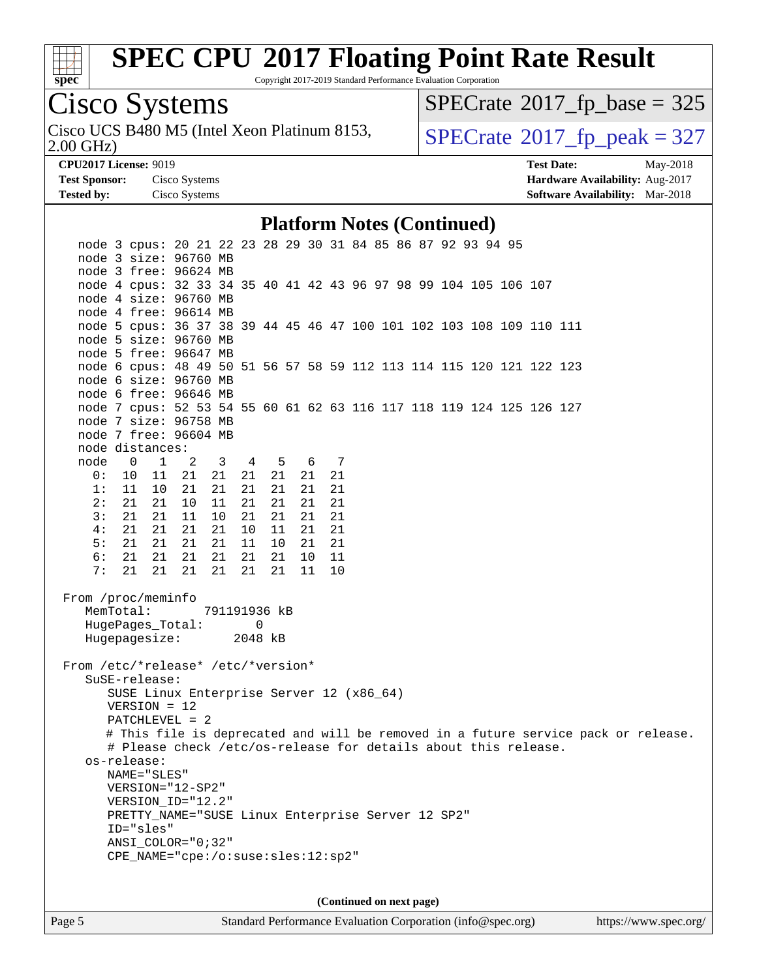

Copyright 2017-2019 Standard Performance Evaluation Corporation

# Cisco Systems

2.00 GHz) Cisco UCS B480 M5 (Intel Xeon Platinum 8153,  $\text{SPECrate} \textcircled{\scriptsize{\textdegree}} 2017\_fp\_peak = 327$  $\text{SPECrate} \textcircled{\scriptsize{\textdegree}} 2017\_fp\_peak = 327$  $\text{SPECrate} \textcircled{\scriptsize{\textdegree}} 2017\_fp\_peak = 327$ 

 $SPECTate$ <sup>®</sup>[2017\\_fp\\_base =](http://www.spec.org/auto/cpu2017/Docs/result-fields.html#SPECrate2017fpbase) 325

**[CPU2017 License:](http://www.spec.org/auto/cpu2017/Docs/result-fields.html#CPU2017License)** 9019 **[Test Date:](http://www.spec.org/auto/cpu2017/Docs/result-fields.html#TestDate)** May-2018 **[Test Sponsor:](http://www.spec.org/auto/cpu2017/Docs/result-fields.html#TestSponsor)** Cisco Systems **[Hardware Availability:](http://www.spec.org/auto/cpu2017/Docs/result-fields.html#HardwareAvailability)** Aug-2017 **[Tested by:](http://www.spec.org/auto/cpu2017/Docs/result-fields.html#Testedby)** Cisco Systems **[Software Availability:](http://www.spec.org/auto/cpu2017/Docs/result-fields.html#SoftwareAvailability)** Mar-2018

#### **[Platform Notes \(Continued\)](http://www.spec.org/auto/cpu2017/Docs/result-fields.html#PlatformNotes)**

| node 3 cpus: 20 21 22 23 28 29 30 31 84 85 86 87 92 93 94 95<br>node 3 size: 96760 MB                                  |  |  |  |  |  |  |  |
|------------------------------------------------------------------------------------------------------------------------|--|--|--|--|--|--|--|
| node 3 free: 96624 MB<br>node 4 cpus: 32 33 34 35 40 41 42 43 96 97 98 99 104 105 106 107<br>node 4 size: 96760 MB     |  |  |  |  |  |  |  |
| node 4 free: 96614 MB<br>node 5 cpus: 36 37 38 39 44 45 46 47 100 101 102 103 108 109 110 111<br>node 5 size: 96760 MB |  |  |  |  |  |  |  |
| node 5 free: 96647 MB<br>node 6 cpus: 48 49 50 51 56 57 58 59 112 113 114 115 120 121 122 123<br>node 6 size: 96760 MB |  |  |  |  |  |  |  |
| node 6 free: 96646 MB<br>node 7 cpus: 52 53 54 55 60 61 62 63 116 117 118 119 124 125 126 127                          |  |  |  |  |  |  |  |
| node 7 size: 96758 MB<br>node 7 free: 96604 MB<br>node distances:                                                      |  |  |  |  |  |  |  |
| node 0 1 2 3 4 5 6 7                                                                                                   |  |  |  |  |  |  |  |
| 0: 10 11 21 21 21 21<br>21<br>21                                                                                       |  |  |  |  |  |  |  |
| 1:<br>11 10<br>21<br>21<br>21 21<br>21<br>21                                                                           |  |  |  |  |  |  |  |
| 2:<br>21 21<br>21<br>10<br>11<br>21 21<br>21                                                                           |  |  |  |  |  |  |  |
| 3:<br>21<br>21 21<br>11<br>10 <sub>1</sub><br>21 21<br>21                                                              |  |  |  |  |  |  |  |
| 4:<br>$21 \quad 10 \quad 11$<br>21<br>21 21<br>21<br>21                                                                |  |  |  |  |  |  |  |
| 5:<br>21 21<br>21 11 10<br>21<br>21<br>21                                                                              |  |  |  |  |  |  |  |
| 6:<br>21  21  21<br>21  21  21<br>10 11                                                                                |  |  |  |  |  |  |  |
| 21  21  21  21  21  21<br>10<br>7:<br>11                                                                               |  |  |  |  |  |  |  |
| From /proc/meminfo<br>MemTotal:<br>791191936 kB<br>HugePages_Total: 0<br>Hugepagesize: 2048 kB                         |  |  |  |  |  |  |  |
| From /etc/*release* /etc/*version*                                                                                     |  |  |  |  |  |  |  |
| SuSE-release:                                                                                                          |  |  |  |  |  |  |  |
| SUSE Linux Enterprise Server 12 (x86_64)                                                                               |  |  |  |  |  |  |  |
| $VERSION = 12$                                                                                                         |  |  |  |  |  |  |  |
| PATCHLEVEL = 2                                                                                                         |  |  |  |  |  |  |  |
| # This file is deprecated and will be removed in a future service pack or release.                                     |  |  |  |  |  |  |  |
| # Please check /etc/os-release for details about this release.                                                         |  |  |  |  |  |  |  |
| os-release:                                                                                                            |  |  |  |  |  |  |  |
| NAME="SLES"                                                                                                            |  |  |  |  |  |  |  |
| VERSION="12-SP2"                                                                                                       |  |  |  |  |  |  |  |
| VERSION_ID="12.2"                                                                                                      |  |  |  |  |  |  |  |
| PRETTY_NAME="SUSE Linux Enterprise Server 12 SP2"                                                                      |  |  |  |  |  |  |  |
| ID="sles"                                                                                                              |  |  |  |  |  |  |  |
| $ANSI$ _COLOR=" $0:32$ "                                                                                               |  |  |  |  |  |  |  |
| CPE_NAME="cpe:/o:suse:sles:12:sp2"                                                                                     |  |  |  |  |  |  |  |
|                                                                                                                        |  |  |  |  |  |  |  |
|                                                                                                                        |  |  |  |  |  |  |  |
| (Continued on next page)                                                                                               |  |  |  |  |  |  |  |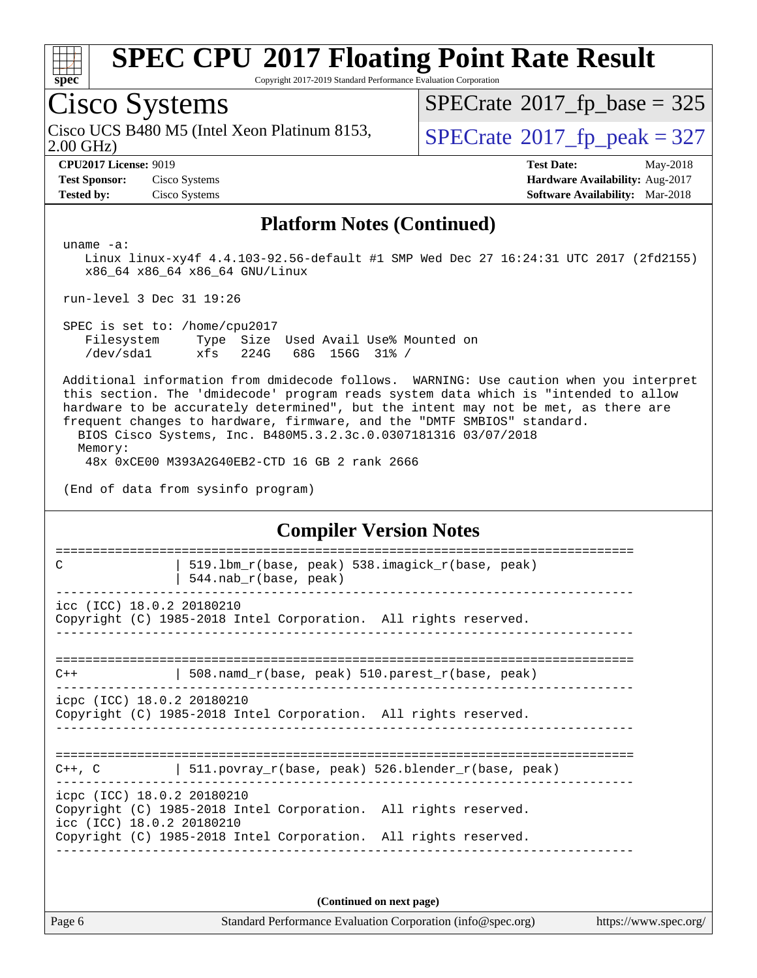

Copyright 2017-2019 Standard Performance Evaluation Corporation

# Cisco Systems

Cisco UCS B480 M5 (Intel Xeon Platinum 8153, 2.00 GHz)

 $SPECTate$ <sup>®</sup>[2017\\_fp\\_base =](http://www.spec.org/auto/cpu2017/Docs/result-fields.html#SPECrate2017fpbase) 325

 $SPECTate@2017_fp\_peak = 327$ 

**[Test Sponsor:](http://www.spec.org/auto/cpu2017/Docs/result-fields.html#TestSponsor)** Cisco Systems **Cisco Systems [Hardware Availability:](http://www.spec.org/auto/cpu2017/Docs/result-fields.html#HardwareAvailability)** Aug-2017 **[Tested by:](http://www.spec.org/auto/cpu2017/Docs/result-fields.html#Testedby)** Cisco Systems **[Software Availability:](http://www.spec.org/auto/cpu2017/Docs/result-fields.html#SoftwareAvailability)** Mar-2018

**[CPU2017 License:](http://www.spec.org/auto/cpu2017/Docs/result-fields.html#CPU2017License)** 9019 **[Test Date:](http://www.spec.org/auto/cpu2017/Docs/result-fields.html#TestDate)** May-2018

#### **[Platform Notes \(Continued\)](http://www.spec.org/auto/cpu2017/Docs/result-fields.html#PlatformNotes)**

uname -a:

 Linux linux-xy4f 4.4.103-92.56-default #1 SMP Wed Dec 27 16:24:31 UTC 2017 (2fd2155) x86\_64 x86\_64 x86\_64 GNU/Linux

run-level 3 Dec 31 19:26

 SPEC is set to: /home/cpu2017 Filesystem Type Size Used Avail Use% Mounted on /dev/sda1 xfs 224G 68G 156G 31% /

 Additional information from dmidecode follows. WARNING: Use caution when you interpret this section. The 'dmidecode' program reads system data which is "intended to allow hardware to be accurately determined", but the intent may not be met, as there are frequent changes to hardware, firmware, and the "DMTF SMBIOS" standard. BIOS Cisco Systems, Inc. B480M5.3.2.3c.0.0307181316 03/07/2018 Memory:

48x 0xCE00 M393A2G40EB2-CTD 16 GB 2 rank 2666

(End of data from sysinfo program)

#### **[Compiler Version Notes](http://www.spec.org/auto/cpu2017/Docs/result-fields.html#CompilerVersionNotes)**

============================================================================== C  $\vert$  519.1bm r(base, peak) 538.imagick r(base, peak) | 544.nab $r(base, peak)$ ----------------------------------------------------------------------------- icc (ICC) 18.0.2 20180210 Copyright (C) 1985-2018 Intel Corporation. All rights reserved. ------------------------------------------------------------------------------ ==============================================================================  $C++$  | 508.namd\_r(base, peak) 510.parest\_r(base, peak) ----------------------------------------------------------------------------- icpc (ICC) 18.0.2 20180210 Copyright (C) 1985-2018 Intel Corporation. All rights reserved. ------------------------------------------------------------------------------ ============================================================================== C++, C  $| 511.povray_r(base, peak) 526.blender_r(base, peak)$ ----------------------------------------------------------------------------- icpc (ICC) 18.0.2 20180210 Copyright (C) 1985-2018 Intel Corporation. All rights reserved. icc (ICC) 18.0.2 20180210 Copyright (C) 1985-2018 Intel Corporation. All rights reserved. ------------------------------------------------------------------------------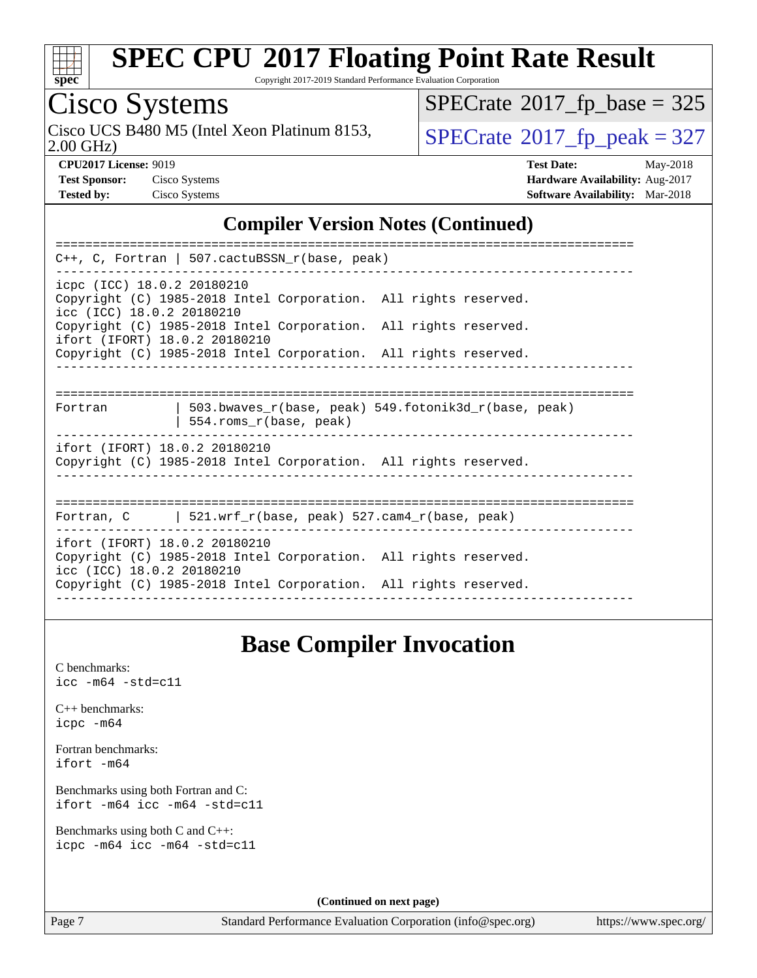

Copyright 2017-2019 Standard Performance Evaluation Corporation

# Cisco Systems

2.00 GHz) Cisco UCS B480 M5 (Intel Xeon Platinum 8153,  $\sqrt{\text{SPECrate}^{\circ}2017\_fp\_peak} = 327$  $\sqrt{\text{SPECrate}^{\circ}2017\_fp\_peak} = 327$  $\sqrt{\text{SPECrate}^{\circ}2017\_fp\_peak} = 327$ 

 $SPECTate$ <sup>®</sup>[2017\\_fp\\_base =](http://www.spec.org/auto/cpu2017/Docs/result-fields.html#SPECrate2017fpbase) 325

**[CPU2017 License:](http://www.spec.org/auto/cpu2017/Docs/result-fields.html#CPU2017License)** 9019 **[Test Date:](http://www.spec.org/auto/cpu2017/Docs/result-fields.html#TestDate)** May-2018 **[Test Sponsor:](http://www.spec.org/auto/cpu2017/Docs/result-fields.html#TestSponsor)** Cisco Systems **[Hardware Availability:](http://www.spec.org/auto/cpu2017/Docs/result-fields.html#HardwareAvailability)** Aug-2017 **[Tested by:](http://www.spec.org/auto/cpu2017/Docs/result-fields.html#Testedby)** Cisco Systems **[Software Availability:](http://www.spec.org/auto/cpu2017/Docs/result-fields.html#SoftwareAvailability)** Mar-2018

#### **[Compiler Version Notes \(Continued\)](http://www.spec.org/auto/cpu2017/Docs/result-fields.html#CompilerVersionNotes)**

| C++, C, Fortran   507.cactuBSSN_r(base, peak)                   |  |  |  |  |  |  |
|-----------------------------------------------------------------|--|--|--|--|--|--|
| icpc (ICC) 18.0.2 20180210                                      |  |  |  |  |  |  |
| Copyright (C) 1985-2018 Intel Corporation. All rights reserved. |  |  |  |  |  |  |
| icc (ICC) 18.0.2 20180210                                       |  |  |  |  |  |  |
| Copyright (C) 1985-2018 Intel Corporation. All rights reserved. |  |  |  |  |  |  |
| ifort (IFORT) 18.0.2 20180210                                   |  |  |  |  |  |  |
| Copyright (C) 1985-2018 Intel Corporation. All rights reserved. |  |  |  |  |  |  |
|                                                                 |  |  |  |  |  |  |
|                                                                 |  |  |  |  |  |  |
| 503.bwaves_r(base, peak) 549.fotonik3d_r(base, peak)<br>Fortran |  |  |  |  |  |  |
| 554.roms_r(base, peak)                                          |  |  |  |  |  |  |
|                                                                 |  |  |  |  |  |  |
| ifort (IFORT) 18.0.2 20180210                                   |  |  |  |  |  |  |
| Copyright (C) 1985-2018 Intel Corporation. All rights reserved. |  |  |  |  |  |  |
|                                                                 |  |  |  |  |  |  |
|                                                                 |  |  |  |  |  |  |
| Fortran, C $\vert$ 521.wrf r(base, peak) 527.cam4 r(base, peak) |  |  |  |  |  |  |
|                                                                 |  |  |  |  |  |  |
| ifort (IFORT) 18.0.2 20180210                                   |  |  |  |  |  |  |
| Copyright (C) 1985-2018 Intel Corporation. All rights reserved. |  |  |  |  |  |  |
| icc (ICC) 18.0.2 20180210                                       |  |  |  |  |  |  |
| Copyright (C) 1985-2018 Intel Corporation. All rights reserved. |  |  |  |  |  |  |
|                                                                 |  |  |  |  |  |  |

#### **[Base Compiler Invocation](http://www.spec.org/auto/cpu2017/Docs/result-fields.html#BaseCompilerInvocation)**

[C benchmarks](http://www.spec.org/auto/cpu2017/Docs/result-fields.html#Cbenchmarks): [icc -m64 -std=c11](http://www.spec.org/cpu2017/results/res2018q2/cpu2017-20180528-06120.flags.html#user_CCbase_intel_icc_64bit_c11_33ee0cdaae7deeeab2a9725423ba97205ce30f63b9926c2519791662299b76a0318f32ddfffdc46587804de3178b4f9328c46fa7c2b0cd779d7a61945c91cd35)

[C++ benchmarks:](http://www.spec.org/auto/cpu2017/Docs/result-fields.html#CXXbenchmarks) [icpc -m64](http://www.spec.org/cpu2017/results/res2018q2/cpu2017-20180528-06120.flags.html#user_CXXbase_intel_icpc_64bit_4ecb2543ae3f1412ef961e0650ca070fec7b7afdcd6ed48761b84423119d1bf6bdf5cad15b44d48e7256388bc77273b966e5eb805aefd121eb22e9299b2ec9d9)

[Fortran benchmarks](http://www.spec.org/auto/cpu2017/Docs/result-fields.html#Fortranbenchmarks): [ifort -m64](http://www.spec.org/cpu2017/results/res2018q2/cpu2017-20180528-06120.flags.html#user_FCbase_intel_ifort_64bit_24f2bb282fbaeffd6157abe4f878425411749daecae9a33200eee2bee2fe76f3b89351d69a8130dd5949958ce389cf37ff59a95e7a40d588e8d3a57e0c3fd751)

[Benchmarks using both Fortran and C](http://www.spec.org/auto/cpu2017/Docs/result-fields.html#BenchmarksusingbothFortranandC): [ifort -m64](http://www.spec.org/cpu2017/results/res2018q2/cpu2017-20180528-06120.flags.html#user_CC_FCbase_intel_ifort_64bit_24f2bb282fbaeffd6157abe4f878425411749daecae9a33200eee2bee2fe76f3b89351d69a8130dd5949958ce389cf37ff59a95e7a40d588e8d3a57e0c3fd751) [icc -m64 -std=c11](http://www.spec.org/cpu2017/results/res2018q2/cpu2017-20180528-06120.flags.html#user_CC_FCbase_intel_icc_64bit_c11_33ee0cdaae7deeeab2a9725423ba97205ce30f63b9926c2519791662299b76a0318f32ddfffdc46587804de3178b4f9328c46fa7c2b0cd779d7a61945c91cd35)

[Benchmarks using both C and C++](http://www.spec.org/auto/cpu2017/Docs/result-fields.html#BenchmarksusingbothCandCXX): [icpc -m64](http://www.spec.org/cpu2017/results/res2018q2/cpu2017-20180528-06120.flags.html#user_CC_CXXbase_intel_icpc_64bit_4ecb2543ae3f1412ef961e0650ca070fec7b7afdcd6ed48761b84423119d1bf6bdf5cad15b44d48e7256388bc77273b966e5eb805aefd121eb22e9299b2ec9d9) [icc -m64 -std=c11](http://www.spec.org/cpu2017/results/res2018q2/cpu2017-20180528-06120.flags.html#user_CC_CXXbase_intel_icc_64bit_c11_33ee0cdaae7deeeab2a9725423ba97205ce30f63b9926c2519791662299b76a0318f32ddfffdc46587804de3178b4f9328c46fa7c2b0cd779d7a61945c91cd35)

**(Continued on next page)**

Page 7 Standard Performance Evaluation Corporation [\(info@spec.org\)](mailto:info@spec.org) <https://www.spec.org/>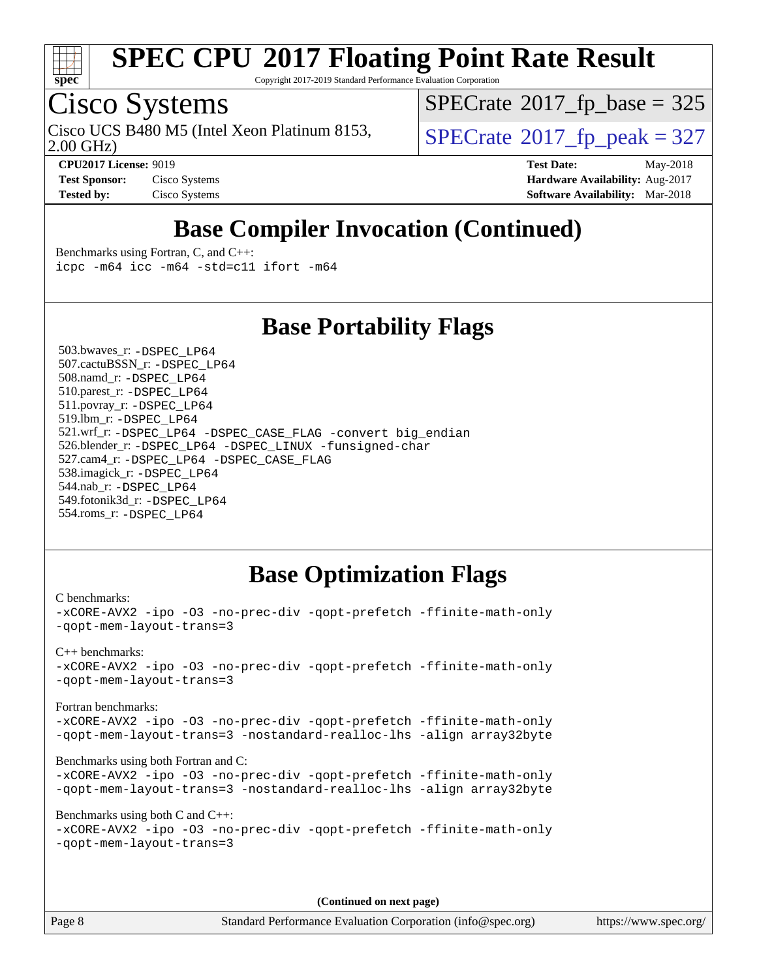

Copyright 2017-2019 Standard Performance Evaluation Corporation

## Cisco Systems

Cisco UCS B480 M5 (Intel Xeon Platinum 8153,  $\vert$ [SPECrate](http://www.spec.org/auto/cpu2017/Docs/result-fields.html#SPECrate2017fppeak)®[2017\\_fp\\_peak = 3](http://www.spec.org/auto/cpu2017/Docs/result-fields.html#SPECrate2017fppeak)27

 $SPECTate$ <sup>®</sup>[2017\\_fp\\_base =](http://www.spec.org/auto/cpu2017/Docs/result-fields.html#SPECrate2017fpbase) 325

2.00 GHz)

**[Tested by:](http://www.spec.org/auto/cpu2017/Docs/result-fields.html#Testedby)** Cisco Systems **[Software Availability:](http://www.spec.org/auto/cpu2017/Docs/result-fields.html#SoftwareAvailability)** Mar-2018

**[CPU2017 License:](http://www.spec.org/auto/cpu2017/Docs/result-fields.html#CPU2017License)** 9019 **[Test Date:](http://www.spec.org/auto/cpu2017/Docs/result-fields.html#TestDate)** May-2018 **[Test Sponsor:](http://www.spec.org/auto/cpu2017/Docs/result-fields.html#TestSponsor)** Cisco Systems **Cisco Systems [Hardware Availability:](http://www.spec.org/auto/cpu2017/Docs/result-fields.html#HardwareAvailability)** Aug-2017

## **[Base Compiler Invocation \(Continued\)](http://www.spec.org/auto/cpu2017/Docs/result-fields.html#BaseCompilerInvocation)**

[Benchmarks using Fortran, C, and C++:](http://www.spec.org/auto/cpu2017/Docs/result-fields.html#BenchmarksusingFortranCandCXX) [icpc -m64](http://www.spec.org/cpu2017/results/res2018q2/cpu2017-20180528-06120.flags.html#user_CC_CXX_FCbase_intel_icpc_64bit_4ecb2543ae3f1412ef961e0650ca070fec7b7afdcd6ed48761b84423119d1bf6bdf5cad15b44d48e7256388bc77273b966e5eb805aefd121eb22e9299b2ec9d9) [icc -m64 -std=c11](http://www.spec.org/cpu2017/results/res2018q2/cpu2017-20180528-06120.flags.html#user_CC_CXX_FCbase_intel_icc_64bit_c11_33ee0cdaae7deeeab2a9725423ba97205ce30f63b9926c2519791662299b76a0318f32ddfffdc46587804de3178b4f9328c46fa7c2b0cd779d7a61945c91cd35) [ifort -m64](http://www.spec.org/cpu2017/results/res2018q2/cpu2017-20180528-06120.flags.html#user_CC_CXX_FCbase_intel_ifort_64bit_24f2bb282fbaeffd6157abe4f878425411749daecae9a33200eee2bee2fe76f3b89351d69a8130dd5949958ce389cf37ff59a95e7a40d588e8d3a57e0c3fd751)

#### **[Base Portability Flags](http://www.spec.org/auto/cpu2017/Docs/result-fields.html#BasePortabilityFlags)**

 503.bwaves\_r: [-DSPEC\\_LP64](http://www.spec.org/cpu2017/results/res2018q2/cpu2017-20180528-06120.flags.html#suite_basePORTABILITY503_bwaves_r_DSPEC_LP64) 507.cactuBSSN\_r: [-DSPEC\\_LP64](http://www.spec.org/cpu2017/results/res2018q2/cpu2017-20180528-06120.flags.html#suite_basePORTABILITY507_cactuBSSN_r_DSPEC_LP64) 508.namd\_r: [-DSPEC\\_LP64](http://www.spec.org/cpu2017/results/res2018q2/cpu2017-20180528-06120.flags.html#suite_basePORTABILITY508_namd_r_DSPEC_LP64) 510.parest\_r: [-DSPEC\\_LP64](http://www.spec.org/cpu2017/results/res2018q2/cpu2017-20180528-06120.flags.html#suite_basePORTABILITY510_parest_r_DSPEC_LP64) 511.povray\_r: [-DSPEC\\_LP64](http://www.spec.org/cpu2017/results/res2018q2/cpu2017-20180528-06120.flags.html#suite_basePORTABILITY511_povray_r_DSPEC_LP64) 519.lbm\_r: [-DSPEC\\_LP64](http://www.spec.org/cpu2017/results/res2018q2/cpu2017-20180528-06120.flags.html#suite_basePORTABILITY519_lbm_r_DSPEC_LP64) 521.wrf\_r: [-DSPEC\\_LP64](http://www.spec.org/cpu2017/results/res2018q2/cpu2017-20180528-06120.flags.html#suite_basePORTABILITY521_wrf_r_DSPEC_LP64) [-DSPEC\\_CASE\\_FLAG](http://www.spec.org/cpu2017/results/res2018q2/cpu2017-20180528-06120.flags.html#b521.wrf_r_baseCPORTABILITY_DSPEC_CASE_FLAG) [-convert big\\_endian](http://www.spec.org/cpu2017/results/res2018q2/cpu2017-20180528-06120.flags.html#user_baseFPORTABILITY521_wrf_r_convert_big_endian_c3194028bc08c63ac5d04de18c48ce6d347e4e562e8892b8bdbdc0214820426deb8554edfa529a3fb25a586e65a3d812c835984020483e7e73212c4d31a38223) 526.blender\_r: [-DSPEC\\_LP64](http://www.spec.org/cpu2017/results/res2018q2/cpu2017-20180528-06120.flags.html#suite_basePORTABILITY526_blender_r_DSPEC_LP64) [-DSPEC\\_LINUX](http://www.spec.org/cpu2017/results/res2018q2/cpu2017-20180528-06120.flags.html#b526.blender_r_baseCPORTABILITY_DSPEC_LINUX) [-funsigned-char](http://www.spec.org/cpu2017/results/res2018q2/cpu2017-20180528-06120.flags.html#user_baseCPORTABILITY526_blender_r_force_uchar_40c60f00ab013830e2dd6774aeded3ff59883ba5a1fc5fc14077f794d777847726e2a5858cbc7672e36e1b067e7e5c1d9a74f7176df07886a243d7cc18edfe67) 527.cam4\_r: [-DSPEC\\_LP64](http://www.spec.org/cpu2017/results/res2018q2/cpu2017-20180528-06120.flags.html#suite_basePORTABILITY527_cam4_r_DSPEC_LP64) [-DSPEC\\_CASE\\_FLAG](http://www.spec.org/cpu2017/results/res2018q2/cpu2017-20180528-06120.flags.html#b527.cam4_r_baseCPORTABILITY_DSPEC_CASE_FLAG) 538.imagick\_r: [-DSPEC\\_LP64](http://www.spec.org/cpu2017/results/res2018q2/cpu2017-20180528-06120.flags.html#suite_basePORTABILITY538_imagick_r_DSPEC_LP64) 544.nab\_r: [-DSPEC\\_LP64](http://www.spec.org/cpu2017/results/res2018q2/cpu2017-20180528-06120.flags.html#suite_basePORTABILITY544_nab_r_DSPEC_LP64) 549.fotonik3d\_r: [-DSPEC\\_LP64](http://www.spec.org/cpu2017/results/res2018q2/cpu2017-20180528-06120.flags.html#suite_basePORTABILITY549_fotonik3d_r_DSPEC_LP64) 554.roms\_r: [-DSPEC\\_LP64](http://www.spec.org/cpu2017/results/res2018q2/cpu2017-20180528-06120.flags.html#suite_basePORTABILITY554_roms_r_DSPEC_LP64)

### **[Base Optimization Flags](http://www.spec.org/auto/cpu2017/Docs/result-fields.html#BaseOptimizationFlags)**

[C benchmarks](http://www.spec.org/auto/cpu2017/Docs/result-fields.html#Cbenchmarks): [-xCORE-AVX2](http://www.spec.org/cpu2017/results/res2018q2/cpu2017-20180528-06120.flags.html#user_CCbase_f-xCORE-AVX2) [-ipo](http://www.spec.org/cpu2017/results/res2018q2/cpu2017-20180528-06120.flags.html#user_CCbase_f-ipo) [-O3](http://www.spec.org/cpu2017/results/res2018q2/cpu2017-20180528-06120.flags.html#user_CCbase_f-O3) [-no-prec-div](http://www.spec.org/cpu2017/results/res2018q2/cpu2017-20180528-06120.flags.html#user_CCbase_f-no-prec-div) [-qopt-prefetch](http://www.spec.org/cpu2017/results/res2018q2/cpu2017-20180528-06120.flags.html#user_CCbase_f-qopt-prefetch) [-ffinite-math-only](http://www.spec.org/cpu2017/results/res2018q2/cpu2017-20180528-06120.flags.html#user_CCbase_f_finite_math_only_cb91587bd2077682c4b38af759c288ed7c732db004271a9512da14a4f8007909a5f1427ecbf1a0fb78ff2a814402c6114ac565ca162485bbcae155b5e4258871) [-qopt-mem-layout-trans=3](http://www.spec.org/cpu2017/results/res2018q2/cpu2017-20180528-06120.flags.html#user_CCbase_f-qopt-mem-layout-trans_de80db37974c74b1f0e20d883f0b675c88c3b01e9d123adea9b28688d64333345fb62bc4a798493513fdb68f60282f9a726aa07f478b2f7113531aecce732043) [C++ benchmarks:](http://www.spec.org/auto/cpu2017/Docs/result-fields.html#CXXbenchmarks) [-xCORE-AVX2](http://www.spec.org/cpu2017/results/res2018q2/cpu2017-20180528-06120.flags.html#user_CXXbase_f-xCORE-AVX2) [-ipo](http://www.spec.org/cpu2017/results/res2018q2/cpu2017-20180528-06120.flags.html#user_CXXbase_f-ipo) [-O3](http://www.spec.org/cpu2017/results/res2018q2/cpu2017-20180528-06120.flags.html#user_CXXbase_f-O3) [-no-prec-div](http://www.spec.org/cpu2017/results/res2018q2/cpu2017-20180528-06120.flags.html#user_CXXbase_f-no-prec-div) [-qopt-prefetch](http://www.spec.org/cpu2017/results/res2018q2/cpu2017-20180528-06120.flags.html#user_CXXbase_f-qopt-prefetch) [-ffinite-math-only](http://www.spec.org/cpu2017/results/res2018q2/cpu2017-20180528-06120.flags.html#user_CXXbase_f_finite_math_only_cb91587bd2077682c4b38af759c288ed7c732db004271a9512da14a4f8007909a5f1427ecbf1a0fb78ff2a814402c6114ac565ca162485bbcae155b5e4258871) [-qopt-mem-layout-trans=3](http://www.spec.org/cpu2017/results/res2018q2/cpu2017-20180528-06120.flags.html#user_CXXbase_f-qopt-mem-layout-trans_de80db37974c74b1f0e20d883f0b675c88c3b01e9d123adea9b28688d64333345fb62bc4a798493513fdb68f60282f9a726aa07f478b2f7113531aecce732043) [Fortran benchmarks](http://www.spec.org/auto/cpu2017/Docs/result-fields.html#Fortranbenchmarks): [-xCORE-AVX2](http://www.spec.org/cpu2017/results/res2018q2/cpu2017-20180528-06120.flags.html#user_FCbase_f-xCORE-AVX2) [-ipo](http://www.spec.org/cpu2017/results/res2018q2/cpu2017-20180528-06120.flags.html#user_FCbase_f-ipo) [-O3](http://www.spec.org/cpu2017/results/res2018q2/cpu2017-20180528-06120.flags.html#user_FCbase_f-O3) [-no-prec-div](http://www.spec.org/cpu2017/results/res2018q2/cpu2017-20180528-06120.flags.html#user_FCbase_f-no-prec-div) [-qopt-prefetch](http://www.spec.org/cpu2017/results/res2018q2/cpu2017-20180528-06120.flags.html#user_FCbase_f-qopt-prefetch) [-ffinite-math-only](http://www.spec.org/cpu2017/results/res2018q2/cpu2017-20180528-06120.flags.html#user_FCbase_f_finite_math_only_cb91587bd2077682c4b38af759c288ed7c732db004271a9512da14a4f8007909a5f1427ecbf1a0fb78ff2a814402c6114ac565ca162485bbcae155b5e4258871) [-qopt-mem-layout-trans=3](http://www.spec.org/cpu2017/results/res2018q2/cpu2017-20180528-06120.flags.html#user_FCbase_f-qopt-mem-layout-trans_de80db37974c74b1f0e20d883f0b675c88c3b01e9d123adea9b28688d64333345fb62bc4a798493513fdb68f60282f9a726aa07f478b2f7113531aecce732043) [-nostandard-realloc-lhs](http://www.spec.org/cpu2017/results/res2018q2/cpu2017-20180528-06120.flags.html#user_FCbase_f_2003_std_realloc_82b4557e90729c0f113870c07e44d33d6f5a304b4f63d4c15d2d0f1fab99f5daaed73bdb9275d9ae411527f28b936061aa8b9c8f2d63842963b95c9dd6426b8a) [-align array32byte](http://www.spec.org/cpu2017/results/res2018q2/cpu2017-20180528-06120.flags.html#user_FCbase_align_array32byte_b982fe038af199962ba9a80c053b8342c548c85b40b8e86eb3cc33dee0d7986a4af373ac2d51c3f7cf710a18d62fdce2948f201cd044323541f22fc0fffc51b6) [Benchmarks using both Fortran and C](http://www.spec.org/auto/cpu2017/Docs/result-fields.html#BenchmarksusingbothFortranandC): [-xCORE-AVX2](http://www.spec.org/cpu2017/results/res2018q2/cpu2017-20180528-06120.flags.html#user_CC_FCbase_f-xCORE-AVX2) [-ipo](http://www.spec.org/cpu2017/results/res2018q2/cpu2017-20180528-06120.flags.html#user_CC_FCbase_f-ipo) [-O3](http://www.spec.org/cpu2017/results/res2018q2/cpu2017-20180528-06120.flags.html#user_CC_FCbase_f-O3) [-no-prec-div](http://www.spec.org/cpu2017/results/res2018q2/cpu2017-20180528-06120.flags.html#user_CC_FCbase_f-no-prec-div) [-qopt-prefetch](http://www.spec.org/cpu2017/results/res2018q2/cpu2017-20180528-06120.flags.html#user_CC_FCbase_f-qopt-prefetch) [-ffinite-math-only](http://www.spec.org/cpu2017/results/res2018q2/cpu2017-20180528-06120.flags.html#user_CC_FCbase_f_finite_math_only_cb91587bd2077682c4b38af759c288ed7c732db004271a9512da14a4f8007909a5f1427ecbf1a0fb78ff2a814402c6114ac565ca162485bbcae155b5e4258871) [-qopt-mem-layout-trans=3](http://www.spec.org/cpu2017/results/res2018q2/cpu2017-20180528-06120.flags.html#user_CC_FCbase_f-qopt-mem-layout-trans_de80db37974c74b1f0e20d883f0b675c88c3b01e9d123adea9b28688d64333345fb62bc4a798493513fdb68f60282f9a726aa07f478b2f7113531aecce732043) [-nostandard-realloc-lhs](http://www.spec.org/cpu2017/results/res2018q2/cpu2017-20180528-06120.flags.html#user_CC_FCbase_f_2003_std_realloc_82b4557e90729c0f113870c07e44d33d6f5a304b4f63d4c15d2d0f1fab99f5daaed73bdb9275d9ae411527f28b936061aa8b9c8f2d63842963b95c9dd6426b8a) [-align array32byte](http://www.spec.org/cpu2017/results/res2018q2/cpu2017-20180528-06120.flags.html#user_CC_FCbase_align_array32byte_b982fe038af199962ba9a80c053b8342c548c85b40b8e86eb3cc33dee0d7986a4af373ac2d51c3f7cf710a18d62fdce2948f201cd044323541f22fc0fffc51b6) [Benchmarks using both C and C++](http://www.spec.org/auto/cpu2017/Docs/result-fields.html#BenchmarksusingbothCandCXX): [-xCORE-AVX2](http://www.spec.org/cpu2017/results/res2018q2/cpu2017-20180528-06120.flags.html#user_CC_CXXbase_f-xCORE-AVX2) [-ipo](http://www.spec.org/cpu2017/results/res2018q2/cpu2017-20180528-06120.flags.html#user_CC_CXXbase_f-ipo) [-O3](http://www.spec.org/cpu2017/results/res2018q2/cpu2017-20180528-06120.flags.html#user_CC_CXXbase_f-O3) [-no-prec-div](http://www.spec.org/cpu2017/results/res2018q2/cpu2017-20180528-06120.flags.html#user_CC_CXXbase_f-no-prec-div) [-qopt-prefetch](http://www.spec.org/cpu2017/results/res2018q2/cpu2017-20180528-06120.flags.html#user_CC_CXXbase_f-qopt-prefetch) [-ffinite-math-only](http://www.spec.org/cpu2017/results/res2018q2/cpu2017-20180528-06120.flags.html#user_CC_CXXbase_f_finite_math_only_cb91587bd2077682c4b38af759c288ed7c732db004271a9512da14a4f8007909a5f1427ecbf1a0fb78ff2a814402c6114ac565ca162485bbcae155b5e4258871) [-qopt-mem-layout-trans=3](http://www.spec.org/cpu2017/results/res2018q2/cpu2017-20180528-06120.flags.html#user_CC_CXXbase_f-qopt-mem-layout-trans_de80db37974c74b1f0e20d883f0b675c88c3b01e9d123adea9b28688d64333345fb62bc4a798493513fdb68f60282f9a726aa07f478b2f7113531aecce732043)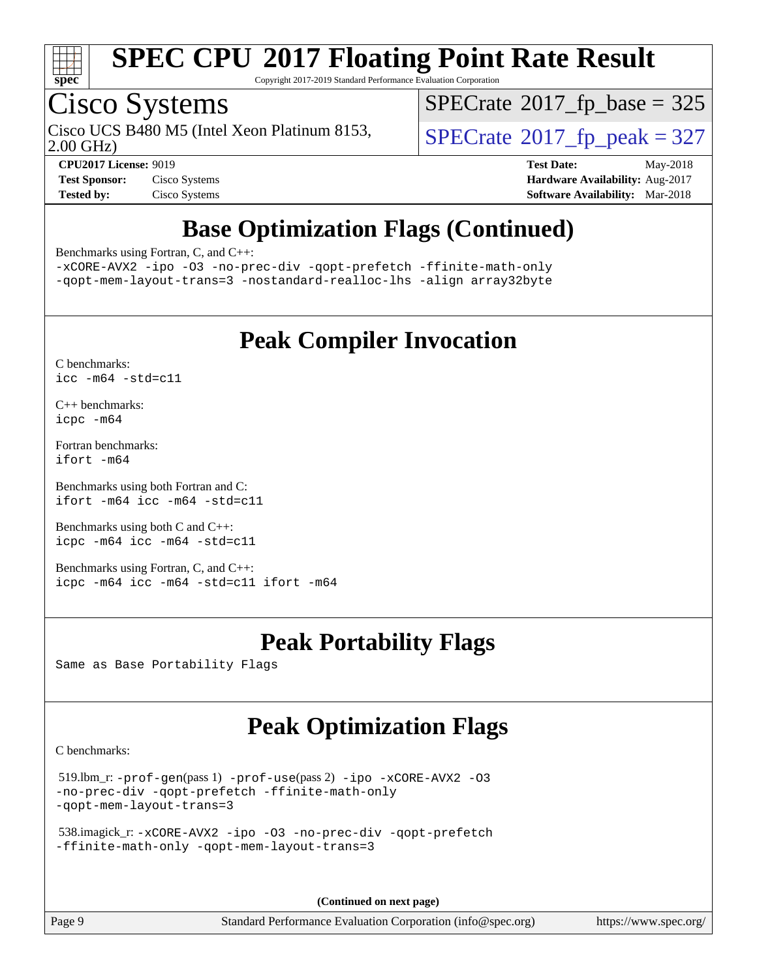

Copyright 2017-2019 Standard Performance Evaluation Corporation

## Cisco Systems

Cisco UCS B480 M5 (Intel Xeon Platinum 8153,  $\vert$ [SPECrate](http://www.spec.org/auto/cpu2017/Docs/result-fields.html#SPECrate2017fppeak)®[2017\\_fp\\_peak = 3](http://www.spec.org/auto/cpu2017/Docs/result-fields.html#SPECrate2017fppeak)27

 $SPECTate$ <sup>®</sup>[2017\\_fp\\_base =](http://www.spec.org/auto/cpu2017/Docs/result-fields.html#SPECrate2017fpbase) 325

2.00 GHz)

**[CPU2017 License:](http://www.spec.org/auto/cpu2017/Docs/result-fields.html#CPU2017License)** 9019 **[Test Date:](http://www.spec.org/auto/cpu2017/Docs/result-fields.html#TestDate)** May-2018 **[Test Sponsor:](http://www.spec.org/auto/cpu2017/Docs/result-fields.html#TestSponsor)** Cisco Systems **[Hardware Availability:](http://www.spec.org/auto/cpu2017/Docs/result-fields.html#HardwareAvailability)** Aug-2017 **[Tested by:](http://www.spec.org/auto/cpu2017/Docs/result-fields.html#Testedby)** Cisco Systems **[Software Availability:](http://www.spec.org/auto/cpu2017/Docs/result-fields.html#SoftwareAvailability)** Mar-2018

## **[Base Optimization Flags \(Continued\)](http://www.spec.org/auto/cpu2017/Docs/result-fields.html#BaseOptimizationFlags)**

[Benchmarks using Fortran, C, and C++:](http://www.spec.org/auto/cpu2017/Docs/result-fields.html#BenchmarksusingFortranCandCXX)

[-xCORE-AVX2](http://www.spec.org/cpu2017/results/res2018q2/cpu2017-20180528-06120.flags.html#user_CC_CXX_FCbase_f-xCORE-AVX2) [-ipo](http://www.spec.org/cpu2017/results/res2018q2/cpu2017-20180528-06120.flags.html#user_CC_CXX_FCbase_f-ipo) [-O3](http://www.spec.org/cpu2017/results/res2018q2/cpu2017-20180528-06120.flags.html#user_CC_CXX_FCbase_f-O3) [-no-prec-div](http://www.spec.org/cpu2017/results/res2018q2/cpu2017-20180528-06120.flags.html#user_CC_CXX_FCbase_f-no-prec-div) [-qopt-prefetch](http://www.spec.org/cpu2017/results/res2018q2/cpu2017-20180528-06120.flags.html#user_CC_CXX_FCbase_f-qopt-prefetch) [-ffinite-math-only](http://www.spec.org/cpu2017/results/res2018q2/cpu2017-20180528-06120.flags.html#user_CC_CXX_FCbase_f_finite_math_only_cb91587bd2077682c4b38af759c288ed7c732db004271a9512da14a4f8007909a5f1427ecbf1a0fb78ff2a814402c6114ac565ca162485bbcae155b5e4258871) [-qopt-mem-layout-trans=3](http://www.spec.org/cpu2017/results/res2018q2/cpu2017-20180528-06120.flags.html#user_CC_CXX_FCbase_f-qopt-mem-layout-trans_de80db37974c74b1f0e20d883f0b675c88c3b01e9d123adea9b28688d64333345fb62bc4a798493513fdb68f60282f9a726aa07f478b2f7113531aecce732043) [-nostandard-realloc-lhs](http://www.spec.org/cpu2017/results/res2018q2/cpu2017-20180528-06120.flags.html#user_CC_CXX_FCbase_f_2003_std_realloc_82b4557e90729c0f113870c07e44d33d6f5a304b4f63d4c15d2d0f1fab99f5daaed73bdb9275d9ae411527f28b936061aa8b9c8f2d63842963b95c9dd6426b8a) [-align array32byte](http://www.spec.org/cpu2017/results/res2018q2/cpu2017-20180528-06120.flags.html#user_CC_CXX_FCbase_align_array32byte_b982fe038af199962ba9a80c053b8342c548c85b40b8e86eb3cc33dee0d7986a4af373ac2d51c3f7cf710a18d62fdce2948f201cd044323541f22fc0fffc51b6)

## **[Peak Compiler Invocation](http://www.spec.org/auto/cpu2017/Docs/result-fields.html#PeakCompilerInvocation)**

[C benchmarks](http://www.spec.org/auto/cpu2017/Docs/result-fields.html#Cbenchmarks): [icc -m64 -std=c11](http://www.spec.org/cpu2017/results/res2018q2/cpu2017-20180528-06120.flags.html#user_CCpeak_intel_icc_64bit_c11_33ee0cdaae7deeeab2a9725423ba97205ce30f63b9926c2519791662299b76a0318f32ddfffdc46587804de3178b4f9328c46fa7c2b0cd779d7a61945c91cd35)

[C++ benchmarks:](http://www.spec.org/auto/cpu2017/Docs/result-fields.html#CXXbenchmarks) [icpc -m64](http://www.spec.org/cpu2017/results/res2018q2/cpu2017-20180528-06120.flags.html#user_CXXpeak_intel_icpc_64bit_4ecb2543ae3f1412ef961e0650ca070fec7b7afdcd6ed48761b84423119d1bf6bdf5cad15b44d48e7256388bc77273b966e5eb805aefd121eb22e9299b2ec9d9)

[Fortran benchmarks](http://www.spec.org/auto/cpu2017/Docs/result-fields.html#Fortranbenchmarks): [ifort -m64](http://www.spec.org/cpu2017/results/res2018q2/cpu2017-20180528-06120.flags.html#user_FCpeak_intel_ifort_64bit_24f2bb282fbaeffd6157abe4f878425411749daecae9a33200eee2bee2fe76f3b89351d69a8130dd5949958ce389cf37ff59a95e7a40d588e8d3a57e0c3fd751)

[Benchmarks using both Fortran and C](http://www.spec.org/auto/cpu2017/Docs/result-fields.html#BenchmarksusingbothFortranandC): [ifort -m64](http://www.spec.org/cpu2017/results/res2018q2/cpu2017-20180528-06120.flags.html#user_CC_FCpeak_intel_ifort_64bit_24f2bb282fbaeffd6157abe4f878425411749daecae9a33200eee2bee2fe76f3b89351d69a8130dd5949958ce389cf37ff59a95e7a40d588e8d3a57e0c3fd751) [icc -m64 -std=c11](http://www.spec.org/cpu2017/results/res2018q2/cpu2017-20180528-06120.flags.html#user_CC_FCpeak_intel_icc_64bit_c11_33ee0cdaae7deeeab2a9725423ba97205ce30f63b9926c2519791662299b76a0318f32ddfffdc46587804de3178b4f9328c46fa7c2b0cd779d7a61945c91cd35)

[Benchmarks using both C and C++](http://www.spec.org/auto/cpu2017/Docs/result-fields.html#BenchmarksusingbothCandCXX): [icpc -m64](http://www.spec.org/cpu2017/results/res2018q2/cpu2017-20180528-06120.flags.html#user_CC_CXXpeak_intel_icpc_64bit_4ecb2543ae3f1412ef961e0650ca070fec7b7afdcd6ed48761b84423119d1bf6bdf5cad15b44d48e7256388bc77273b966e5eb805aefd121eb22e9299b2ec9d9) [icc -m64 -std=c11](http://www.spec.org/cpu2017/results/res2018q2/cpu2017-20180528-06120.flags.html#user_CC_CXXpeak_intel_icc_64bit_c11_33ee0cdaae7deeeab2a9725423ba97205ce30f63b9926c2519791662299b76a0318f32ddfffdc46587804de3178b4f9328c46fa7c2b0cd779d7a61945c91cd35)

[Benchmarks using Fortran, C, and C++:](http://www.spec.org/auto/cpu2017/Docs/result-fields.html#BenchmarksusingFortranCandCXX) [icpc -m64](http://www.spec.org/cpu2017/results/res2018q2/cpu2017-20180528-06120.flags.html#user_CC_CXX_FCpeak_intel_icpc_64bit_4ecb2543ae3f1412ef961e0650ca070fec7b7afdcd6ed48761b84423119d1bf6bdf5cad15b44d48e7256388bc77273b966e5eb805aefd121eb22e9299b2ec9d9) [icc -m64 -std=c11](http://www.spec.org/cpu2017/results/res2018q2/cpu2017-20180528-06120.flags.html#user_CC_CXX_FCpeak_intel_icc_64bit_c11_33ee0cdaae7deeeab2a9725423ba97205ce30f63b9926c2519791662299b76a0318f32ddfffdc46587804de3178b4f9328c46fa7c2b0cd779d7a61945c91cd35) [ifort -m64](http://www.spec.org/cpu2017/results/res2018q2/cpu2017-20180528-06120.flags.html#user_CC_CXX_FCpeak_intel_ifort_64bit_24f2bb282fbaeffd6157abe4f878425411749daecae9a33200eee2bee2fe76f3b89351d69a8130dd5949958ce389cf37ff59a95e7a40d588e8d3a57e0c3fd751)

## **[Peak Portability Flags](http://www.spec.org/auto/cpu2017/Docs/result-fields.html#PeakPortabilityFlags)**

Same as Base Portability Flags

## **[Peak Optimization Flags](http://www.spec.org/auto/cpu2017/Docs/result-fields.html#PeakOptimizationFlags)**

[C benchmarks](http://www.spec.org/auto/cpu2017/Docs/result-fields.html#Cbenchmarks):

```
 519.lbm_r: -prof-gen(pass 1) -prof-use(pass 2) -ipo -xCORE-AVX2 -O3
-no-prec-div -qopt-prefetch -ffinite-math-only
-qopt-mem-layout-trans=3
```

```
 538.imagick_r: -xCORE-AVX2 -ipo -O3 -no-prec-div -qopt-prefetch
-ffinite-math-only -qopt-mem-layout-trans=3
```
**(Continued on next page)**

Page 9 Standard Performance Evaluation Corporation [\(info@spec.org\)](mailto:info@spec.org) <https://www.spec.org/>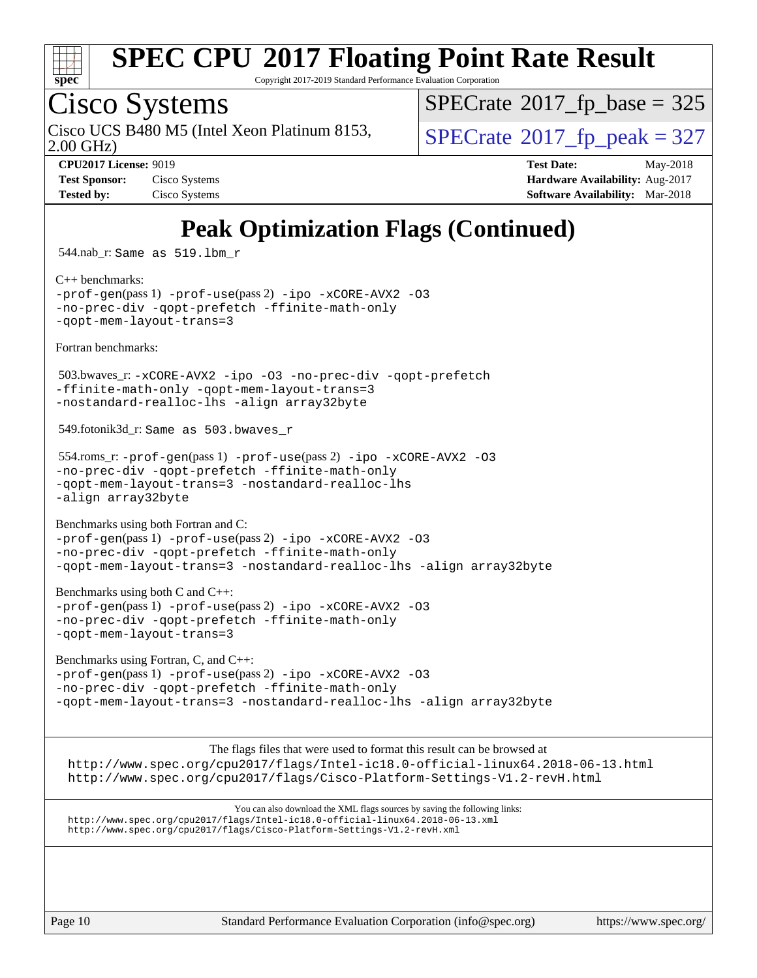

Copyright 2017-2019 Standard Performance Evaluation Corporation

## Cisco Systems

2.00 GHz) Cisco UCS B480 M5 (Intel Xeon Platinum 8153,  $\vert$ [SPECrate](http://www.spec.org/auto/cpu2017/Docs/result-fields.html#SPECrate2017fppeak)®[2017\\_fp\\_peak = 3](http://www.spec.org/auto/cpu2017/Docs/result-fields.html#SPECrate2017fppeak)27

 $SPECTate$ <sup>®</sup>[2017\\_fp\\_base =](http://www.spec.org/auto/cpu2017/Docs/result-fields.html#SPECrate2017fpbase) 325

**[Test Sponsor:](http://www.spec.org/auto/cpu2017/Docs/result-fields.html#TestSponsor)** Cisco Systems **Cisco Systems [Hardware Availability:](http://www.spec.org/auto/cpu2017/Docs/result-fields.html#HardwareAvailability)** Aug-2017 **[Tested by:](http://www.spec.org/auto/cpu2017/Docs/result-fields.html#Testedby)** Cisco Systems **[Software Availability:](http://www.spec.org/auto/cpu2017/Docs/result-fields.html#SoftwareAvailability)** Mar-2018

**[CPU2017 License:](http://www.spec.org/auto/cpu2017/Docs/result-fields.html#CPU2017License)** 9019 **[Test Date:](http://www.spec.org/auto/cpu2017/Docs/result-fields.html#TestDate)** May-2018

## **[Peak Optimization Flags \(Continued\)](http://www.spec.org/auto/cpu2017/Docs/result-fields.html#PeakOptimizationFlags)**

544.nab\_r: Same as 519.lbm\_r

[C++ benchmarks:](http://www.spec.org/auto/cpu2017/Docs/result-fields.html#CXXbenchmarks)

[-prof-gen](http://www.spec.org/cpu2017/results/res2018q2/cpu2017-20180528-06120.flags.html#user_CXXpeak_prof_gen_5aa4926d6013ddb2a31985c654b3eb18169fc0c6952a63635c234f711e6e63dd76e94ad52365559451ec499a2cdb89e4dc58ba4c67ef54ca681ffbe1461d6b36)(pass 1) [-prof-use](http://www.spec.org/cpu2017/results/res2018q2/cpu2017-20180528-06120.flags.html#user_CXXpeak_prof_use_1a21ceae95f36a2b53c25747139a6c16ca95bd9def2a207b4f0849963b97e94f5260e30a0c64f4bb623698870e679ca08317ef8150905d41bd88c6f78df73f19)(pass 2) [-ipo](http://www.spec.org/cpu2017/results/res2018q2/cpu2017-20180528-06120.flags.html#user_CXXpeak_f-ipo) [-xCORE-AVX2](http://www.spec.org/cpu2017/results/res2018q2/cpu2017-20180528-06120.flags.html#user_CXXpeak_f-xCORE-AVX2) [-O3](http://www.spec.org/cpu2017/results/res2018q2/cpu2017-20180528-06120.flags.html#user_CXXpeak_f-O3) [-no-prec-div](http://www.spec.org/cpu2017/results/res2018q2/cpu2017-20180528-06120.flags.html#user_CXXpeak_f-no-prec-div) [-qopt-prefetch](http://www.spec.org/cpu2017/results/res2018q2/cpu2017-20180528-06120.flags.html#user_CXXpeak_f-qopt-prefetch) [-ffinite-math-only](http://www.spec.org/cpu2017/results/res2018q2/cpu2017-20180528-06120.flags.html#user_CXXpeak_f_finite_math_only_cb91587bd2077682c4b38af759c288ed7c732db004271a9512da14a4f8007909a5f1427ecbf1a0fb78ff2a814402c6114ac565ca162485bbcae155b5e4258871) [-qopt-mem-layout-trans=3](http://www.spec.org/cpu2017/results/res2018q2/cpu2017-20180528-06120.flags.html#user_CXXpeak_f-qopt-mem-layout-trans_de80db37974c74b1f0e20d883f0b675c88c3b01e9d123adea9b28688d64333345fb62bc4a798493513fdb68f60282f9a726aa07f478b2f7113531aecce732043)

[Fortran benchmarks](http://www.spec.org/auto/cpu2017/Docs/result-fields.html#Fortranbenchmarks):

 503.bwaves\_r: [-xCORE-AVX2](http://www.spec.org/cpu2017/results/res2018q2/cpu2017-20180528-06120.flags.html#user_peakFOPTIMIZE503_bwaves_r_f-xCORE-AVX2) [-ipo](http://www.spec.org/cpu2017/results/res2018q2/cpu2017-20180528-06120.flags.html#user_peakFOPTIMIZE503_bwaves_r_f-ipo) [-O3](http://www.spec.org/cpu2017/results/res2018q2/cpu2017-20180528-06120.flags.html#user_peakFOPTIMIZE503_bwaves_r_f-O3) [-no-prec-div](http://www.spec.org/cpu2017/results/res2018q2/cpu2017-20180528-06120.flags.html#user_peakFOPTIMIZE503_bwaves_r_f-no-prec-div) [-qopt-prefetch](http://www.spec.org/cpu2017/results/res2018q2/cpu2017-20180528-06120.flags.html#user_peakFOPTIMIZE503_bwaves_r_f-qopt-prefetch) [-ffinite-math-only](http://www.spec.org/cpu2017/results/res2018q2/cpu2017-20180528-06120.flags.html#user_peakFOPTIMIZE503_bwaves_r_f_finite_math_only_cb91587bd2077682c4b38af759c288ed7c732db004271a9512da14a4f8007909a5f1427ecbf1a0fb78ff2a814402c6114ac565ca162485bbcae155b5e4258871) [-qopt-mem-layout-trans=3](http://www.spec.org/cpu2017/results/res2018q2/cpu2017-20180528-06120.flags.html#user_peakFOPTIMIZE503_bwaves_r_f-qopt-mem-layout-trans_de80db37974c74b1f0e20d883f0b675c88c3b01e9d123adea9b28688d64333345fb62bc4a798493513fdb68f60282f9a726aa07f478b2f7113531aecce732043) [-nostandard-realloc-lhs](http://www.spec.org/cpu2017/results/res2018q2/cpu2017-20180528-06120.flags.html#user_peakEXTRA_FOPTIMIZE503_bwaves_r_f_2003_std_realloc_82b4557e90729c0f113870c07e44d33d6f5a304b4f63d4c15d2d0f1fab99f5daaed73bdb9275d9ae411527f28b936061aa8b9c8f2d63842963b95c9dd6426b8a) [-align array32byte](http://www.spec.org/cpu2017/results/res2018q2/cpu2017-20180528-06120.flags.html#user_peakEXTRA_FOPTIMIZE503_bwaves_r_align_array32byte_b982fe038af199962ba9a80c053b8342c548c85b40b8e86eb3cc33dee0d7986a4af373ac2d51c3f7cf710a18d62fdce2948f201cd044323541f22fc0fffc51b6)

549.fotonik3d\_r: Same as 503.bwaves\_r

```
 554.roms_r: -prof-gen(pass 1) -prof-use(pass 2) -ipo -xCORE-AVX2 -O3
-no-prec-div -qopt-prefetch -ffinite-math-only
-qopt-mem-layout-trans=3 -nostandard-realloc-lhs
-align array32byte
```
[Benchmarks using both Fortran and C](http://www.spec.org/auto/cpu2017/Docs/result-fields.html#BenchmarksusingbothFortranandC):

```
-prof-gen(pass 1) -prof-use(pass 2) -ipo -xCORE-AVX2 -O3
-no-prec-div -qopt-prefetch -ffinite-math-only
-qopt-mem-layout-trans=3 -nostandard-realloc-lhs -align array32byte
```
[Benchmarks using both C and C++](http://www.spec.org/auto/cpu2017/Docs/result-fields.html#BenchmarksusingbothCandCXX): [-prof-gen](http://www.spec.org/cpu2017/results/res2018q2/cpu2017-20180528-06120.flags.html#user_CC_CXXpeak_prof_gen_5aa4926d6013ddb2a31985c654b3eb18169fc0c6952a63635c234f711e6e63dd76e94ad52365559451ec499a2cdb89e4dc58ba4c67ef54ca681ffbe1461d6b36)(pass 1) [-prof-use](http://www.spec.org/cpu2017/results/res2018q2/cpu2017-20180528-06120.flags.html#user_CC_CXXpeak_prof_use_1a21ceae95f36a2b53c25747139a6c16ca95bd9def2a207b4f0849963b97e94f5260e30a0c64f4bb623698870e679ca08317ef8150905d41bd88c6f78df73f19)(pass 2) [-ipo](http://www.spec.org/cpu2017/results/res2018q2/cpu2017-20180528-06120.flags.html#user_CC_CXXpeak_f-ipo) [-xCORE-AVX2](http://www.spec.org/cpu2017/results/res2018q2/cpu2017-20180528-06120.flags.html#user_CC_CXXpeak_f-xCORE-AVX2) [-O3](http://www.spec.org/cpu2017/results/res2018q2/cpu2017-20180528-06120.flags.html#user_CC_CXXpeak_f-O3) [-no-prec-div](http://www.spec.org/cpu2017/results/res2018q2/cpu2017-20180528-06120.flags.html#user_CC_CXXpeak_f-no-prec-div) [-qopt-prefetch](http://www.spec.org/cpu2017/results/res2018q2/cpu2017-20180528-06120.flags.html#user_CC_CXXpeak_f-qopt-prefetch) [-ffinite-math-only](http://www.spec.org/cpu2017/results/res2018q2/cpu2017-20180528-06120.flags.html#user_CC_CXXpeak_f_finite_math_only_cb91587bd2077682c4b38af759c288ed7c732db004271a9512da14a4f8007909a5f1427ecbf1a0fb78ff2a814402c6114ac565ca162485bbcae155b5e4258871) [-qopt-mem-layout-trans=3](http://www.spec.org/cpu2017/results/res2018q2/cpu2017-20180528-06120.flags.html#user_CC_CXXpeak_f-qopt-mem-layout-trans_de80db37974c74b1f0e20d883f0b675c88c3b01e9d123adea9b28688d64333345fb62bc4a798493513fdb68f60282f9a726aa07f478b2f7113531aecce732043)

[Benchmarks using Fortran, C, and C++:](http://www.spec.org/auto/cpu2017/Docs/result-fields.html#BenchmarksusingFortranCandCXX)

```
-prof-use-ipo-xCORE-AVX2-O3-no-prec-div -qopt-prefetch -ffinite-math-only
-qopt-mem-layout-trans=3 -nostandard-realloc-lhs -align array32byte
```
[The flags files that were used to format this result can be browsed at](tmsearch) <http://www.spec.org/cpu2017/flags/Intel-ic18.0-official-linux64.2018-06-13.html>

<http://www.spec.org/cpu2017/flags/Cisco-Platform-Settings-V1.2-revH.html>

[You can also download the XML flags sources by saving the following links:](tmsearch) <http://www.spec.org/cpu2017/flags/Intel-ic18.0-official-linux64.2018-06-13.xml> <http://www.spec.org/cpu2017/flags/Cisco-Platform-Settings-V1.2-revH.xml>